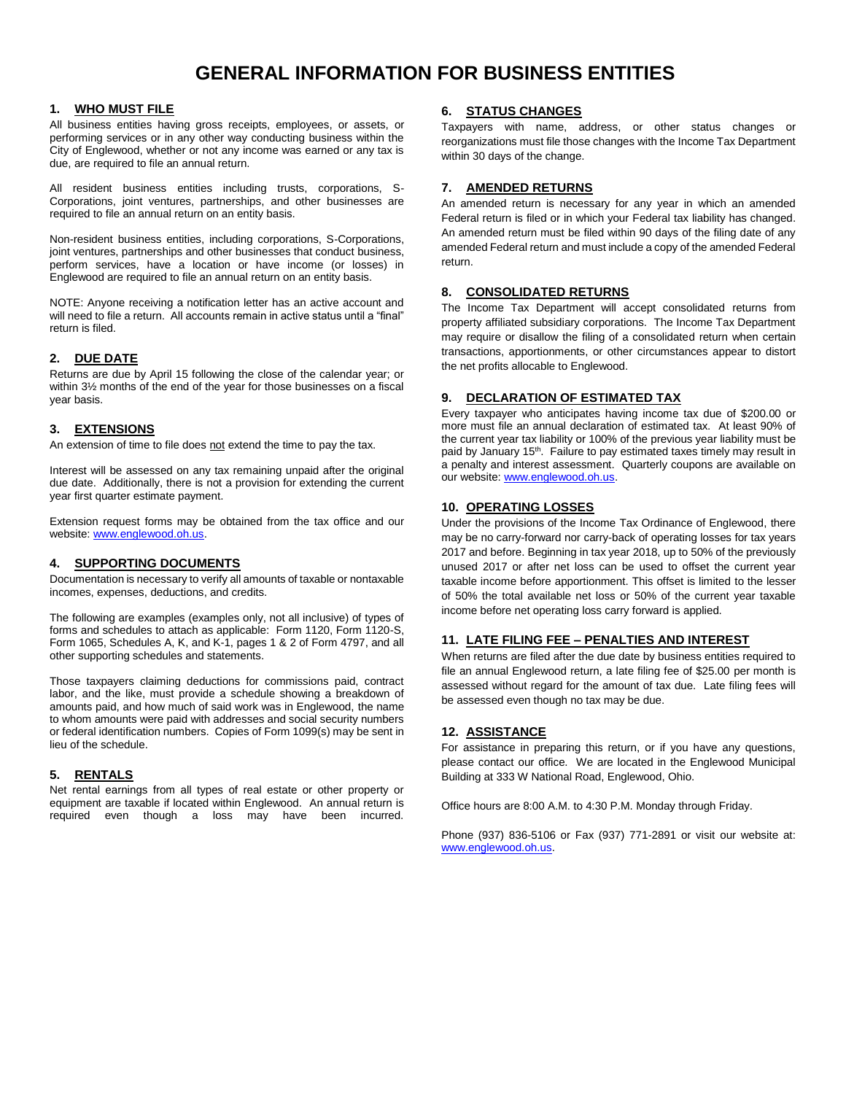# **GENERAL INFORMATION FOR BUSINESS ENTITIES**

## **1. WHO MUST FILE**

All business entities having gross receipts, employees, or assets, or performing services or in any other way conducting business within the City of Englewood, whether or not any income was earned or any tax is due, are required to file an annual return.

All resident business entities including trusts, corporations, S-Corporations, joint ventures, partnerships, and other businesses are required to file an annual return on an entity basis.

Non-resident business entities, including corporations, S-Corporations, joint ventures, partnerships and other businesses that conduct business, perform services, have a location or have income (or losses) in Englewood are required to file an annual return on an entity basis.

NOTE: Anyone receiving a notification letter has an active account and will need to file a return. All accounts remain in active status until a "final" return is filed.

# **2. DUE DATE**

Returns are due by April 15 following the close of the calendar year; or within 3½ months of the end of the year for those businesses on a fiscal year basis.

# **3. EXTENSIONS**

An extension of time to file does not extend the time to pay the tax.

Interest will be assessed on any tax remaining unpaid after the original due date. Additionally, there is not a provision for extending the current year first quarter estimate payment.

Extension request forms may be obtained from the tax office and our website[: www.englewood.oh.us.](http://www.englewood.oh.us/)

## **4. SUPPORTING DOCUMENTS**

Documentation is necessary to verify all amounts of taxable or nontaxable incomes, expenses, deductions, and credits.

The following are examples (examples only, not all inclusive) of types of forms and schedules to attach as applicable: Form 1120, Form 1120-S, Form 1065, Schedules A, K, and K-1, pages 1 & 2 of Form 4797, and all other supporting schedules and statements.

Those taxpayers claiming deductions for commissions paid, contract labor, and the like, must provide a schedule showing a breakdown of amounts paid, and how much of said work was in Englewood, the name to whom amounts were paid with addresses and social security numbers or federal identification numbers. Copies of Form 1099(s) may be sent in lieu of the schedule.

# **5. RENTALS**

Net rental earnings from all types of real estate or other property or equipment are taxable if located within Englewood. An annual return is required even though a loss may have been incurred.

# **6. STATUS CHANGES**

Taxpayers with name, address, or other status changes or reorganizations must file those changes with the Income Tax Department within 30 days of the change.

# **7. AMENDED RETURNS**

An amended return is necessary for any year in which an amended Federal return is filed or in which your Federal tax liability has changed. An amended return must be filed within 90 days of the filing date of any amended Federal return and must include a copy of the amended Federal return.

## **8. CONSOLIDATED RETURNS**

The Income Tax Department will accept consolidated returns from property affiliated subsidiary corporations. The Income Tax Department may require or disallow the filing of a consolidated return when certain transactions, apportionments, or other circumstances appear to distort the net profits allocable to Englewood.

## **9. DECLARATION OF ESTIMATED TAX**

Every taxpayer who anticipates having income tax due of \$200.00 or more must file an annual declaration of estimated tax. At least 90% of the current year tax liability or 100% of the previous year liability must be paid by January 15<sup>th</sup>. Failure to pay estimated taxes timely may result in a penalty and interest assessment. Quarterly coupons are available on our website: [www.englewood.oh.us.](http://www.englewood.oh.us/)

## **10. OPERATING LOSSES**

Under the provisions of the Income Tax Ordinance of Englewood, there may be no carry-forward nor carry-back of operating losses for tax years 2017 and before. Beginning in tax year 2018, up to 50% of the previously unused 2017 or after net loss can be used to offset the current year taxable income before apportionment. This offset is limited to the lesser of 50% the total available net loss or 50% of the current year taxable income before net operating loss carry forward is applied.

## **11. LATE FILING FEE – PENALTIES AND INTEREST**

When returns are filed after the due date by business entities required to file an annual Englewood return, a late filing fee of \$25.00 per month is assessed without regard for the amount of tax due. Late filing fees will be assessed even though no tax may be due.

## **12. ASSISTANCE**

For assistance in preparing this return, or if you have any questions, please contact our office. We are located in the Englewood Municipal Building at 333 W National Road, Englewood, Ohio.

Office hours are 8:00 A.M. to 4:30 P.M. Monday through Friday.

Phone (937) 836-5106 or Fax (937) 771-2891 or visit our website at: [www.englewood.oh.us.](http://www.englewood.oh.us/)